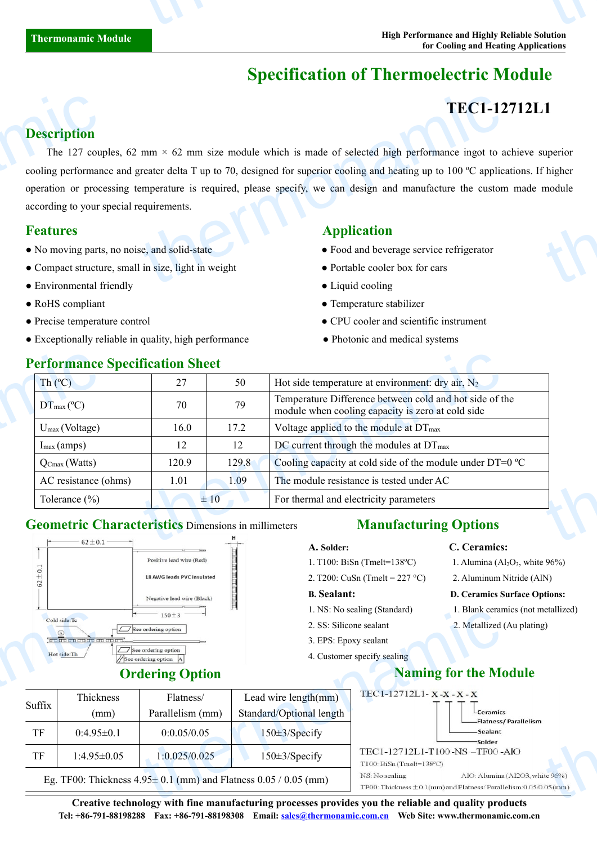# **Specification of Thermoelectric Module**

# **TEC1-12712L1**

### **Description**

The 127 couples, 62 mm  $\times$  62 mm size module which is made of selected high performance ingot to achieve superior cooling performance and greater delta T up to 70, designed for superior cooling and heating up to 100 ºC applications. If higher operation or processing temperature is required, please specify, we can design and manufacture the custom made module according to your special requirements. **Description**<br>The 127 coupled<br>cooling performant<br>operation or process according to your s<br>**Features**<br>No moving parts<br>Compact structure TEC1-12<br>
mm × 62 mm size module which is made of selected high performance ingot to a<br>
reater delta T up to 70, designed for superior cooling and heating up to 100 °C applice<br>
emperature is required, please specify, we ca  $\frac{1}{\pi}$ <br> $\frac{1}{\pi}$ <br> $\frac{1}{\pi}$ <br> $\frac{1}{\pi}$ 

- No moving parts, no noise, and solid-state **•** Food and beverage service refrigerator
- Compact structure, small in size, light in weight **•** Portable cooler box for cars
- Environmental friendly  **Liquid cooling**
- 
- 
- Exceptionally reliable in quality, high performance • • Photonic and medical systems

# **Features Application**

- 
- 
- 
- RoHS compliant  $\bullet$  Temperature stabilizer
- Precise temperature control CPU cooler and scientific instrument
	-

| $Th(^{\circ}C)$            | 27    | 50       | Hot side temperature at environment: dry air, $N_2$                                                          |
|----------------------------|-------|----------|--------------------------------------------------------------------------------------------------------------|
| $DT_{\text{max}}$ (°C)     | 70    | 79       | Temperature Difference between cold and hot side of the<br>module when cooling capacity is zero at cold side |
| $U_{\text{max}}$ (Voltage) | 16.0  | 17.2     | Voltage applied to the module at DT <sub>max</sub>                                                           |
| $I_{\text{max}}$ (amps)    | 12    | 12       | DC current through the modules at $DT_{\text{max}}$                                                          |
| $Q_{\text{Cmax}}$ (Watts)  | 120.9 | 129.8    | Cooling capacity at cold side of the module under DT=0 °C                                                    |
| AC resistance (ohms)       | 1.01  | 1.09     | The module resistance is tested under AC                                                                     |
| Tolerance $(\% )$          |       | $\pm 10$ | For thermal and electricity parameters                                                                       |

### **Geometric Characteristics** Dimensions in millimeters **Manufacturing Options**



## **Ordering Option**

### **A. Solder: C. Ceramics:**

- 1. T100: BiSn (Tmelt=138°C) 1. Alumina (Al<sub>2</sub>O<sub>3</sub>, white 96%)
- 2. T200: CuSn (Tmelt =  $227^{\circ}$ C) 2. Aluminum Nitride (AlN)

### **B. Sealant: D. Ceramics Surface Options:**

- 1. NS: No sealing (Standard) 1. Blank ceramics (not metallized)
- 2. SS: Silicone sealant 2. Metallized (Au plating)
- 3. EPS: Epoxy sealant
- 4. Customer specify sealing

# **Naming for the Module**



**Creative technology with fine manufacturing processes provides you the reliable and quality products Tel: +86-791-88198288 Fax: +86-791-88198308 Email: sales@thermonamic.com.cn Web Site: www.thermonamic.com.cn**

### **Performance Specification Sheet**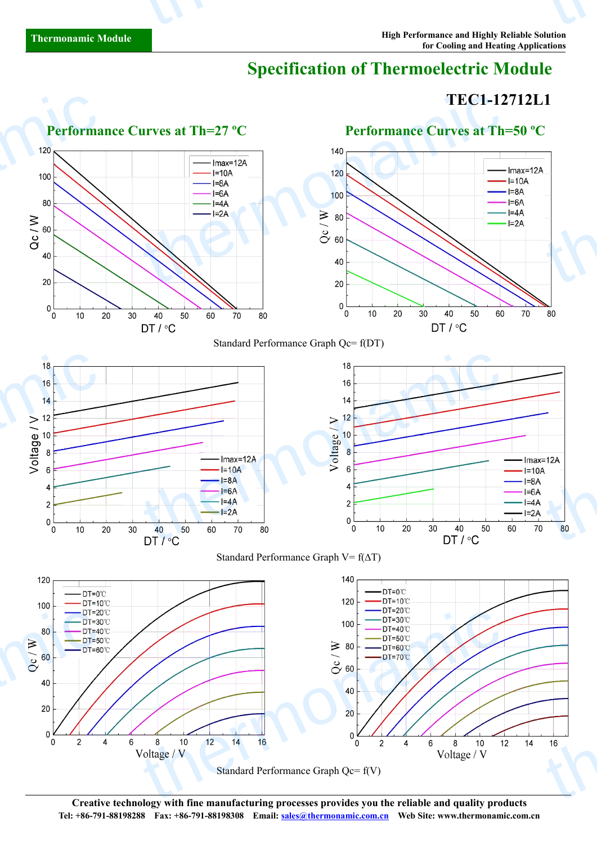# **Specification of Thermoelectric Module**

# **TEC1-12712L1**



**Creative technology with fine manufacturing processes provides you the reliable and quality products Tel: +86-791-88198288 Fax: +86-791-88198308 Email: sales@thermonamic.com.cn Web Site: www.thermonamic.com.cn**